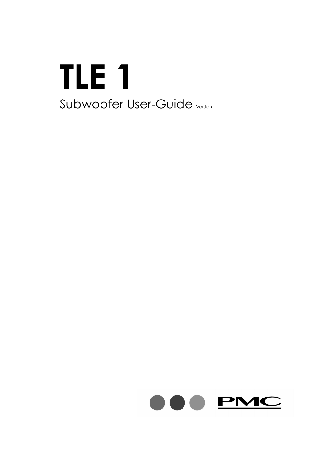# **TLE 1** Subwoofer User-Guide Version II

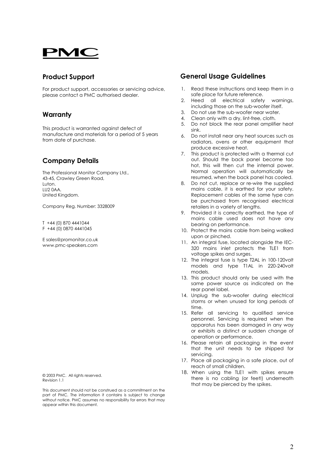## PMC

#### **Product Support**

For product support, accessories or servicing advice, please contact a PMC authorised dealer.

#### **Warranty**

This product is warranted against defect of manufacture and materials for a period of 5 years from date of purchase.

#### **Company Details**

The Professional Monitor Company Ltd., 43-45, Crawley Green Road, Luton. LU2 0AA. United Kingdom.

Company Reg. Number: 3328009

T +44 (0) 870 4441044 F +44 (0) 0870 4441045

E sales@promonitor.co.uk www.pmc-speakers.com

© 2003 PMC. All rights reserved. Revision 1.1

This document should not be construed as a commitment on the part of PMC. The information it contains is subject to change without notice. PMC assumes no responsibility for errors that may appear within this document.

#### **General Usage Guidelines**

- 1. Read these instructions and keep them in a safe place for future reference.
- 2. Heed all electrical safety warnings, including those on the sub-woofer itself.
- 3. Do not use the sub-woofer near water.
- 4. Clean only with a dry, lint-free, cloth.
- 5. Do not block the rear panel amplifier heat sink.
- 6. Do not install near any heat sources such as radiators, ovens or other equipment that produce excessive heat.
- 7. This product is protected with a thermal cut out. Should the back panel become too hot, this will then cut the internal power. Normal operation will automatically be resumed, when the back panel has cooled.
- 8. Do not cut, replace or re-wire the supplied mains cable, it is earthed for your safety. Replacement cables of the same type can be purchased from recognised electrical retailers in a variety of lengths.
- 9. Provided it is correctly earthed, the type of mains cable used does not have any bearing on performance.
- 10. Protect the mains cable from being walked upon or pinched.
- 11. An integral fuse, located alongside the IEC-320 mains inlet protects the TLE1 from voltage spikes and surges.
- 12. The integral fuse is type T2AL in 100-120volt models and type T1AL in 220-240volt models.
- 13. This product should only be used with the same power source as indicated on the rear panel label.
- 14. Unplug the sub-woofer during electrical storms or when unused for long periods of time.
- 15. Refer all servicing to qualified service personnel. Servicing is required when the apparatus has been damaged in any way or exhibits a distinct or sudden change of operation or performance.
- 16. Please retain all packaging in the event that the unit needs to be shipped for servicing.
- 17. Place all packaging in a safe place, out of reach of small children.
- 18. When using the TLE1 with spikes ensure there is no cabling (or feet!) underneath that may be pierced by the spikes.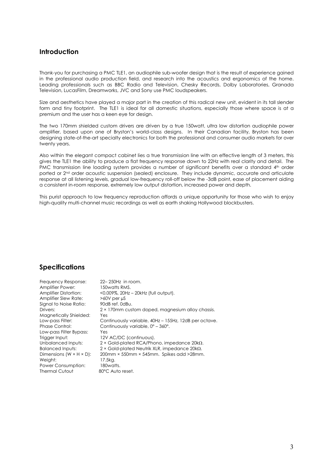#### **Introduction**

Thank-you for purchasing a PMC TLE1, an audiophile sub-woofer design that is the result of experience gained in the professional audio production field, and research into the acoustics and ergonomics of the home. Leading professionals such as BBC Radio and Television, Chesky Records, Dolby Laboratories, Granada Television, LucasFilm, Dreamworks, JVC and Sony use PMC loudspeakers.

Size and aesthetics have played a major part in the creation of this radical new unit, evident in its tall slender form and tiny footprint. The TLE1 is ideal for all domestic situations, especially those where space is at a premium and the user has a keen eye for design.

The two 170mm shielded custom drivers are driven by a true 150watt, ultra low distortion audiophile power amplifier, based upon one of Bryston's world-class designs. In their Canadian facility, Bryston has been designing state-of-the-art specialty electronics for both the professional and consumer audio markets for over twenty years.

Also within the elegant compact cabinet lies a true transmission line with an effective length of 3 meters, this gives the TLE1 the ability to produce a flat frequency response down to 22Hz with real clarity and detail. The PMC transmission line loading system provides a number of significant benefits over a standard 4<sup>th</sup> order ported or 2nd order acoustic suspension (sealed) enclosure. They include dynamic, accurate and articulate response at all listening levels, gradual low-frequency roll-off below the -3dB point, ease of placement aiding a consistent in-room response, extremely low output distortion, increased power and depth.

This purist approach to low frequency reproduction affords a unique opportunity for those who wish to enjoy high-quality multi-channel music recordings as well as earth shaking Hollywood blockbusters.

#### **Specifications**

| Frequency Response:                  | $22 - 250$ Hz in room.                                       |
|--------------------------------------|--------------------------------------------------------------|
| Amplifier Power:                     | 150 watts RMS.                                               |
| Amplifier Distortion:                | <0.009%, 20Hz - 20kHz (full output).                         |
| Amplifier Slew Rate:                 | $>60V$ per $\mu$ S                                           |
| Signal to Noise Ratio:               | 90dB ref. 0dBu.                                              |
| Drivers:                             | 2 × 170mm custom doped, magnesium alloy chassis.             |
| Magnetically Shielded:               | Yes                                                          |
| Low-pass Filter:                     | Continuously variable, 40Hz - 155Hz, 12dB per octave.        |
| <b>Phase Control:</b>                | Continuously variable, $0^{\circ}$ – 360°.                   |
| Low-pass Filter Bypass:              | Yes                                                          |
| Trigger Input:                       | 12V AC/DC (continuous).                                      |
| Unbalanced Inputs:                   | $2 \times$ Gold-plated RCA/Phono, impedance 20k $\Omega$ .   |
| <b>Balanced Inputs:</b>              | $2 \times$ Gold-plated Neutrik XLR, impedance 20k $\Omega$ . |
| Dimensions $(W \times H \times D)$ : | 200mm × 550mm × 545mm. Spikes add >28mm.                     |
| Weight:                              | 17.5kg.                                                      |
| Power Consumption:                   | 180watts.                                                    |
| <b>Thermal Cutout</b>                | 80°C Auto reset.                                             |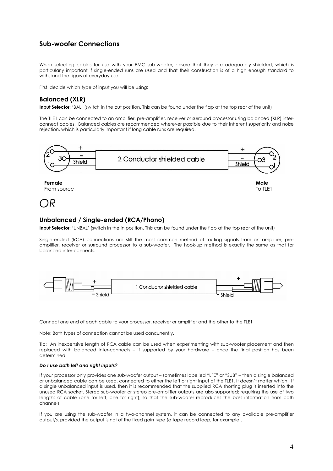#### **Sub-woofer Connections**

When selecting cables for use with your PMC sub-woofer, ensure that they are adequately shielded, which is particularly important if single-ended runs are used and that their construction is of a high enough standard to withstand the rigors of everyday use.

First, decide which type of input you will be using:

#### **Balanced (XLR)**

**Input Selector**: 'BAL' (switch in the out position. This can be found under the flap at the top rear of the unit)

The TLE1 can be connected to an amplifier, pre-amplifier, receiver or surround processor using balanced (XLR) interconnect cables. Balanced cables are recommended wherever possible due to their inherent superiority and noise rejection, which is particularly important if long cable runs are required.



OR

#### **Unbalanced / Single-ended (RCA/Phono)**

**Input Selector:** 'UNBAL' (switch in the in position. This can be found under the flap at the top rear of the unit)

Single-ended (RCA) connections are still the most common method of routing signals from an amplifier, preamplifier, receiver or surround processor to a sub-woofer. The hook-up method is exactly the same as that for balanced inter-connects.



Connect one end of each cable to your processor, receiver or amplifier and the other to the TLE1

Note: Both types of connection cannot be used concurrently.

Tip: An inexpensive length of RCA cable can be used when experimenting with sub-woofer placement and then replaced with balanced inter-connects – if supported by your hardware – once the final position has been determined.

#### **Do I use both left and right inputs?**

If your processor only provides one sub-woofer output – sometimes labelled "LFE" or "SUB" – then a single balanced or unbalanced cable can be used, connected to either the left or right input of the TLE1, it doesnít matter which. If a single unbalanced input is used, then it is recommended that the supplied RCA shorting plug is inserted into the unused RCA socket. Stereo sub-woofer or stereo pre-amplifier outputs are also supported; requiring the use of two lengths of cable (one for left, one for right), so that the sub-woofer reproduces the bass information from both channels.

If you are using the sub-woofer in a two-channel system, it can be connected to any available pre-amplifier output/s, provided the output is not of the fixed gain type (a tape record loop, for example).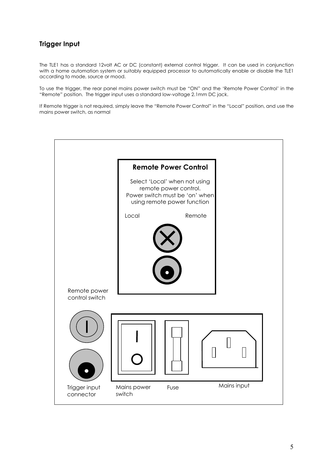### **Trigger Input**

The TLE1 has a standard 12volt AC or DC (constant) external control trigger. It can be used in conjunction with a home automation system or suitably equipped processor to automatically enable or disable the TLE1 according to mode, source or mood.

To use the trigger, the rear panel mains power switch must be "ON" and the 'Remote Power Control' in the ìRemoteî position. The trigger input uses a standard low-voltage 2.1mm DC jack.

If Remote trigger is not required, simply leave the "Remote Power Control" in the "Local" position, and use the mains power switch, as normal

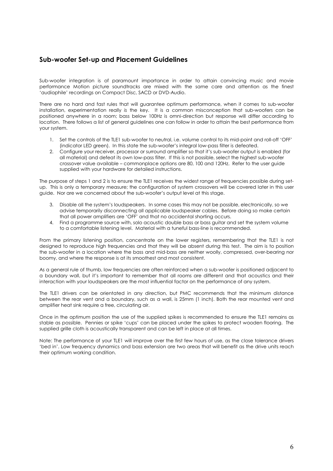#### **Sub-woofer Set-up and Placement Guidelines**

Sub-woofer integration is of paramount importance in order to attain convincing music and movie performance Motion picture soundtracks are mixed with the same care and attention as the finest 'audiophile' recordings on Compact Disc, SACD or DVD-Audio.

There are no hard and fast rules that will guarantee optimum performance, when it comes to sub-woofer installation, experimentation really is the key. It is a common misconception that sub-woofers can be positioned anywhere in a room; bass below 100Hz is omni-direction but response will differ according to location. There follows a list of general guidelines one can follow in order to attain the best performance from your system.

- 1. Set the controls of the TLE1 sub-woofer to neutral, i.e. volume control to its mid-point and roll-off 'OFF' (indicator LED green). In this state the sub-wooferís integral low-pass filter is defeated.
- 2. Configure your receiver, processor or surround amplifier so that it's sub-woofer output is enabled (for all material) and defeat its own low-pass filter. If this is not possible, select the highest sub-woofer crossover value available – commonplace options are 80, 100 and 120Hz. Refer to the user guide supplied with your hardware for detailed instructions.

The purpose of steps 1 and 2 is to ensure the TLE1 receives the widest range of frequencies possible during setup. This is only a temporary measure; the configuration of system crossovers will be covered later in this user guide. Nor are we concerned about the sub-woofer's output level at this stage.

- 3. Disable all the systemís loudspeakers. In some cases this may not be possible, electronically, so we advise temporarily disconnecting all applicable loudspeaker cables. Before doing so make certain that all power amplifiers are 'OFF' and that no accidental shorting occurs.
- 4. Find a programme source with, solo acoustic double bass or bass guitar and set the system volume to a comfortable listening level. Material with a tuneful bass-line is recommended.

From the primary listening position, concentrate on the lower registers, remembering that the TLE1 is not designed to reproduce high frequencies and that they will be absent during this test. The aim is to position the sub-woofer in a location where the bass and mid-bass are neither woolly, compressed, over-bearing nor boomy, and where the response is at its smoothest and most consistent.

As a general rule of thumb, low frequencies are often reinforced when a sub-woofer is positioned adjacent to a boundary wall, but it's important to remember that all rooms are different and that acoustics and their interaction with your loudspeakers are the most influential factor on the performance of any system.

The TLE1 drivers can be orientated in any direction, but PMC recommends that the minimum distance between the rear vent and a boundary, such as a wall, is 25mm (1 inch). Both the rear mounted vent and amplifier heat sink require a free, circulating air.

Once in the optimum position the use of the supplied spikes is recommended to ensure the TLE1 remains as stable as possible. Pennies or spike 'cups' can be placed under the spikes to protect wooden flooring. The supplied grille cloth is acoustically transparent and can be left in place at all times.

Note: The performance of your TLE1 will improve over the first few hours of use, as the close tolerance drivers ëbed iní. Low frequency dynamics and bass extension are two areas that will benefit as the drive units reach their optimum working condition.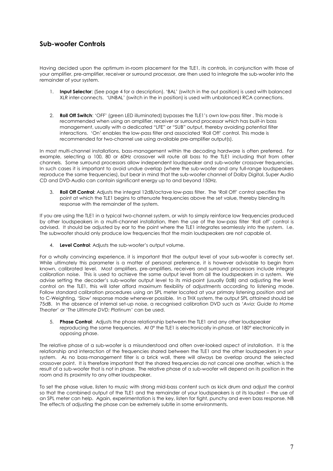#### **Sub-woofer Controls**

Having decided upon the optimum in-room placement for the TLE1, its controls, in conjunction with those of your amplifier, pre-amplifier, receiver or surround processor, are then used to integrate the sub-woofer into the remainder of your system.

- 1. **Input Selector**: (See page 4 for a description). 'BAL' (switch in the out position) is used with balanced XLR inter-connects. 'UNBAL' (switch in the in position) is used with unbalanced RCA connections.
- 2. **Roll Off Switch**: 'OFF' (green LED illuminated) bypasses the TLE1's own low-pass filter . This mode is recommended when using an amplifier, receiver or surround processor which has built-in bass management, usually with a dedicated "LFE" or "SUB" output, thereby avoiding potential filter interactions. 'On' enables the low-pass filter and associated 'Roll Off' control. This mode is recommended for two-channel use using available pre-amplifier output(s).

In most multi-channel installations, bass-management within the decoding hardware is often preferred. For example, selecting a 100, 80 or 60Hz crossover will route all bass to the TLE1 including that from other channels. Some surround processors allow independent loudspeaker and sub-woofer crossover frequencies. In such cases it is important to avoid undue overlap (where the sub-woofer and any full-range loudspeakers reproduce the same frequencies), but bear in mind that the sub-woofer channel of Dolby Digital, Super Audio CD and DVD-Audio can contain significant energy up to and beyond 150Hz.

3. **Roll Off Control**: Adjusts the integral 12dB/octave low-pass filter. The ëRoll Offí control specifies the point at which the TLE1 begins to attenuate frequencies above the set value, thereby blending its response with the remainder of the system.

If you are using the TLE1 in a typical two-channel system, or wish to simply reinforce low frequencies produced by other loudspeakers in a multi-channel installation, then the use of the low-pass filter 'Roll off' control is advised. It should be adjusted by ear to the point where the TLE1 integrates seamlessly into the system. I.e. The subwoofer should only produce low frequencies that the main loudspeakers are not capable of.

4. **Level Control**: Adjusts the sub-wooferís output volume.

For a wholly convincing experience, it is important that the output level of your sub-woofer is correctly set. While ultimately this parameter is a matter of personal preference, it is however advisable to begin from known, calibrated level. Most amplifiers, pre-amplifiers, receivers and surround processors include integral calibration noise. This is used to achieve the same output level from all the loudspeakers in a system. We advise setting the decoderís sub-woofer output level to its mid-point (usually 0dB) and adjusting the level control on the TLE1, this will later afford maximum flexibility of adjustments according to listening mode. Follow standard calibration procedures using an SPL meter located at your primary listening position and set to C-Weighting, 'Slow' response mode whenever possible. In a THX system, the output SPL attained should be 75dB. In the absence of internal set-up noise, a recognised calibration DVD such as 'Avia: Guide to Home Theater' or 'The Ultimate DVD: Platinum' can be used.

5. **Phase Control**: Adjusts the phase relationship between the TLE1 and any other loudspeaker reproducing the same frequencies. At 0° the TLE1 is electronically in-phase, at 180° electronically in opposing phase.

The relative phase of a sub-woofer is a misunderstood and often over-looked aspect of installation. It is the relationship and interaction of the frequencies shared between the TLE1 and the other loudspeakers in your system. As no bass-management filter is a brick wall, there will always be overlap around the selected crossover point. It is therefore important that the shared frequencies do not cancel one another, which is the result of a sub-woofer that is not in phase. The relative phase of a sub-woofer will depend on its position in the room and its proximity to any other loudspeaker.

To set the phase value, listen to music with strong mid-bass content such as kick drum and adjust the control so that the combined output of the TLE1 and the remainder of your loudspeakers is at its loudest – the use of an SPL meter can help. Again, experimentation is the key, listen for tight, punchy and even bass response. NB The effects of adjusting the phase can be extremely subtle in some environments.